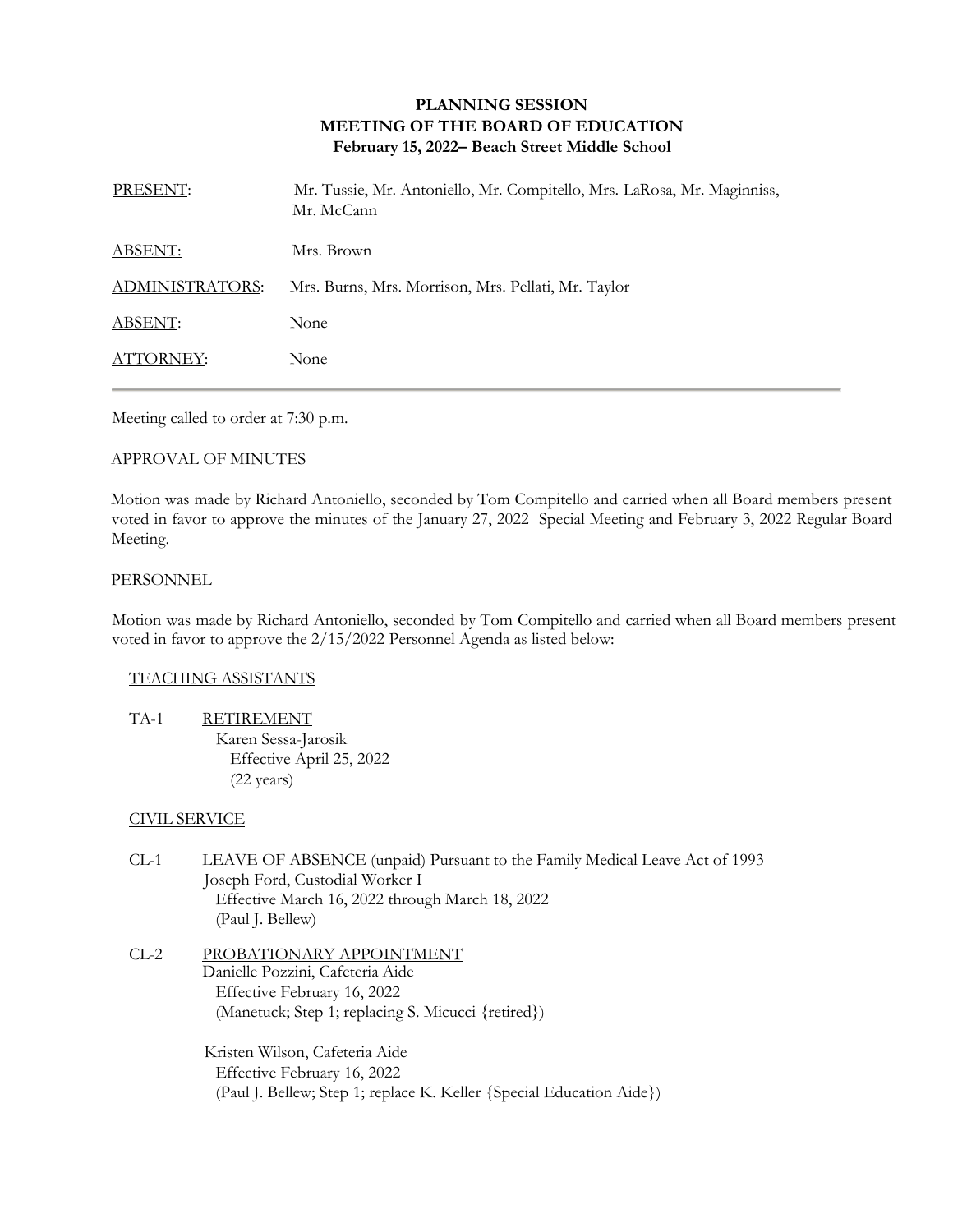# **PLANNING SESSION MEETING OF THE BOARD OF EDUCATION February 15, 2022– Beach Street Middle School**

| PRESENT:        | Mr. Tussie, Mr. Antoniello, Mr. Compitello, Mrs. LaRosa, Mr. Maginniss,<br>Mr. McCann |
|-----------------|---------------------------------------------------------------------------------------|
| ABSENT:         | Mrs. Brown                                                                            |
| ADMINISTRATORS: | Mrs. Burns, Mrs. Morrison, Mrs. Pellati, Mr. Taylor                                   |
| <b>ABSENT:</b>  | None                                                                                  |
| ATTORNEY:       | None                                                                                  |

Meeting called to order at 7:30 p.m.

#### APPROVAL OF MINUTES

Motion was made by Richard Antoniello, seconded by Tom Compitello and carried when all Board members present voted in favor to approve the minutes of the January 27, 2022 Special Meeting and February 3, 2022 Regular Board Meeting.

#### PERSONNEL

Motion was made by Richard Antoniello, seconded by Tom Compitello and carried when all Board members present voted in favor to approve the 2/15/2022 Personnel Agenda as listed below:

#### TEACHING ASSISTANTS

TA-1 RETIREMENT Karen Sessa-Jarosik Effective April 25, 2022 (22 years)

## CIVIL SERVICE

- CL-1 LEAVE OF ABSENCE (unpaid) Pursuant to the Family Medical Leave Act of 1993 Joseph Ford, Custodial Worker I Effective March 16, 2022 through March 18, 2022 (Paul J. Bellew)
- CL-2 PROBATIONARY APPOINTMENT Danielle Pozzini, Cafeteria Aide Effective February 16, 2022 (Manetuck; Step 1; replacing S. Micucci {retired})

Kristen Wilson, Cafeteria Aide Effective February 16, 2022 (Paul J. Bellew; Step 1; replace K. Keller {Special Education Aide})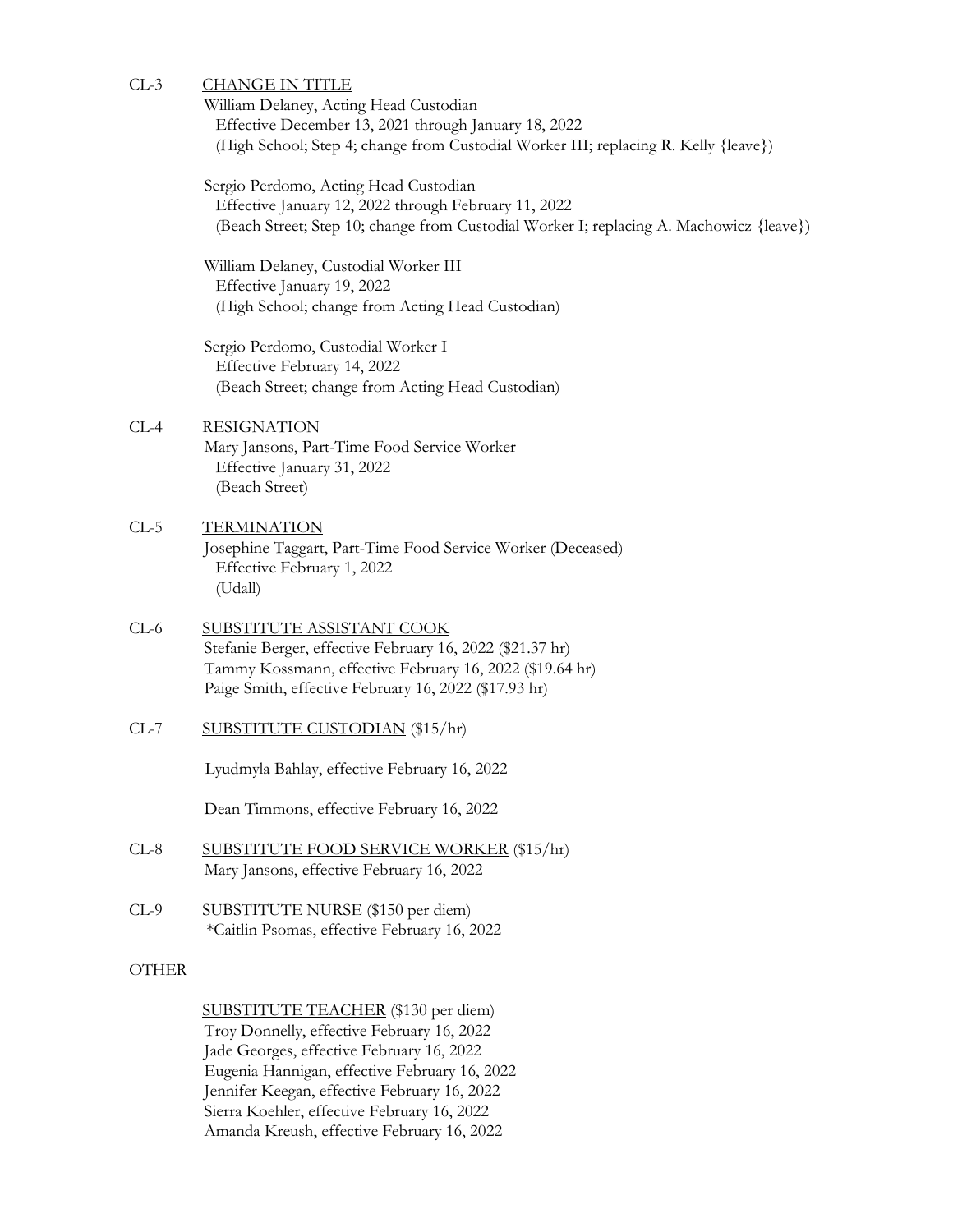## CL-3 CHANGE IN TITLE

William Delaney, Acting Head Custodian Effective December 13, 2021 through January 18, 2022 (High School; Step 4; change from Custodial Worker III; replacing R. Kelly {leave})

Sergio Perdomo, Acting Head Custodian Effective January 12, 2022 through February 11, 2022 (Beach Street; Step 10; change from Custodial Worker I; replacing A. Machowicz {leave})

William Delaney, Custodial Worker III Effective January 19, 2022 (High School; change from Acting Head Custodian)

Sergio Perdomo, Custodial Worker I Effective February 14, 2022 (Beach Street; change from Acting Head Custodian)

# CL-4 RESIGNATION

Mary Jansons, Part-Time Food Service Worker Effective January 31, 2022 (Beach Street)

## CL-5 TERMINATION Josephine Taggart, Part-Time Food Service Worker (Deceased) Effective February 1, 2022 (Udall)

- CL-6 SUBSTITUTE ASSISTANT COOK Stefanie Berger, effective February 16, 2022 (\$21.37 hr) Tammy Kossmann, effective February 16, 2022 (\$19.64 hr) Paige Smith, effective February 16, 2022 (\$17.93 hr)
- CL-7 SUBSTITUTE CUSTODIAN (\$15/hr)

Lyudmyla Bahlay, effective February 16, 2022

Dean Timmons, effective February 16, 2022

- CL-8 SUBSTITUTE FOOD SERVICE WORKER (\$15/hr) Mary Jansons, effective February 16, 2022
- CL-9 SUBSTITUTE NURSE (\$150 per diem) \*Caitlin Psomas, effective February 16, 2022

#### **OTHER**

SUBSTITUTE TEACHER (\$130 per diem) Troy Donnelly, effective February 16, 2022 Jade Georges, effective February 16, 2022 Eugenia Hannigan, effective February 16, 2022 Jennifer Keegan, effective February 16, 2022 Sierra Koehler, effective February 16, 2022 Amanda Kreush, effective February 16, 2022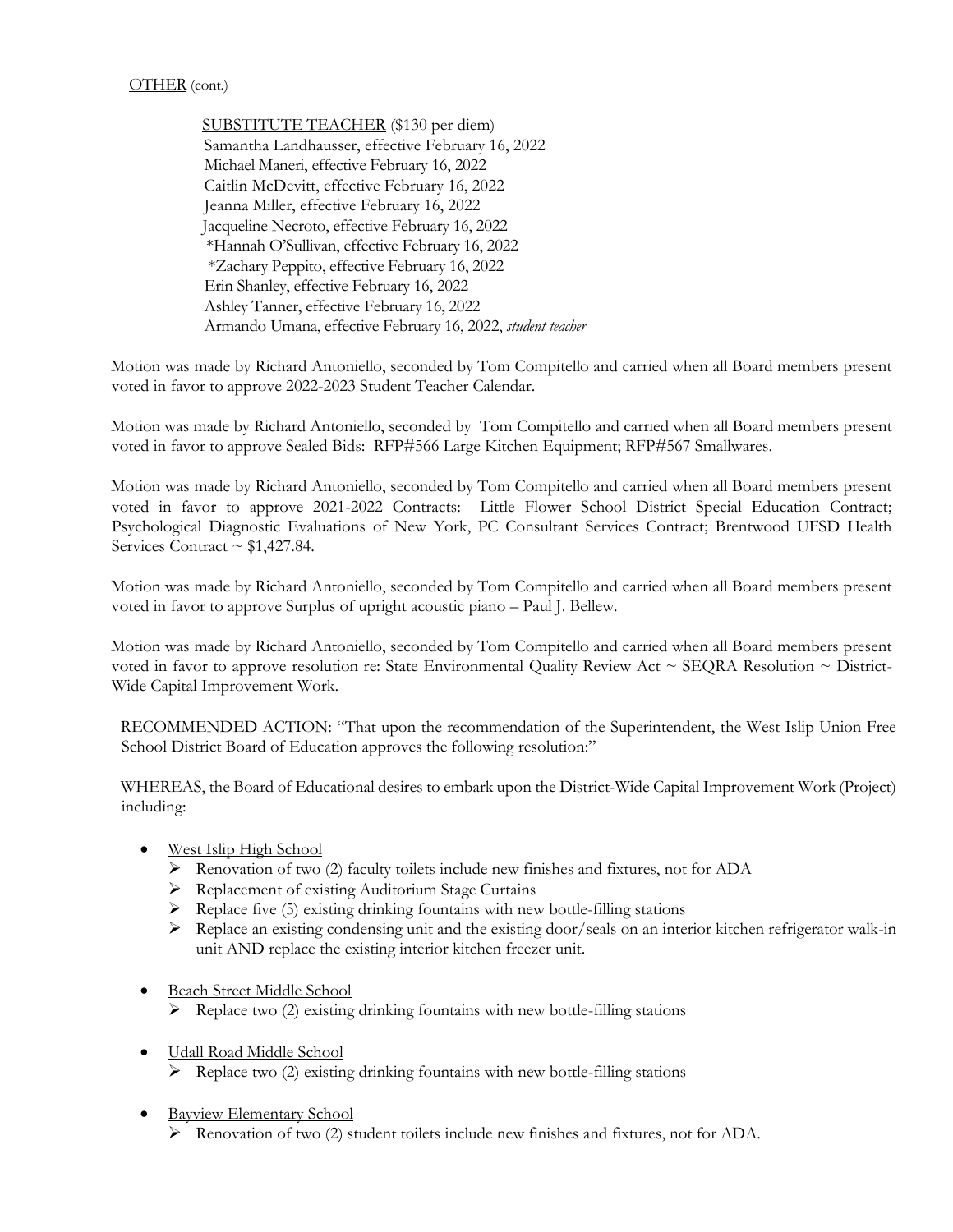SUBSTITUTE TEACHER (\$130 per diem) Samantha Landhausser, effective February 16, 2022 Michael Maneri, effective February 16, 2022 Caitlin McDevitt, effective February 16, 2022 Jeanna Miller, effective February 16, 2022 Jacqueline Necroto, effective February 16, 2022 \*Hannah O'Sullivan, effective February 16, 2022 \*Zachary Peppito, effective February 16, 2022 Erin Shanley, effective February 16, 2022 Ashley Tanner, effective February 16, 2022 Armando Umana, effective February 16, 2022, *student teacher*

Motion was made by Richard Antoniello, seconded by Tom Compitello and carried when all Board members present voted in favor to approve 2022-2023 Student Teacher Calendar.

Motion was made by Richard Antoniello, seconded by Tom Compitello and carried when all Board members present voted in favor to approve Sealed Bids: RFP#566 Large Kitchen Equipment; RFP#567 Smallwares.

Motion was made by Richard Antoniello, seconded by Tom Compitello and carried when all Board members present voted in favor to approve 2021-2022 Contracts: Little Flower School District Special Education Contract; Psychological Diagnostic Evaluations of New York, PC Consultant Services Contract; Brentwood UFSD Health Services Contract  $\sim$  \$1,427.84.

Motion was made by Richard Antoniello, seconded by Tom Compitello and carried when all Board members present voted in favor to approve Surplus of upright acoustic piano – Paul J. Bellew.

Motion was made by Richard Antoniello, seconded by Tom Compitello and carried when all Board members present voted in favor to approve resolution re: State Environmental Quality Review Act ~ SEQRA Resolution ~ District-Wide Capital Improvement Work.

RECOMMENDED ACTION: "That upon the recommendation of the Superintendent, the West Islip Union Free School District Board of Education approves the following resolution:"

WHEREAS, the Board of Educational desires to embark upon the District-Wide Capital Improvement Work (Project) including:

- West Islip High School
	- Renovation of two (2) faculty toilets include new finishes and fixtures, not for ADA
	- Replacement of existing Auditorium Stage Curtains
	- $\triangleright$  Replace five (5) existing drinking fountains with new bottle-filling stations
	- Replace an existing condensing unit and the existing door/seals on an interior kitchen refrigerator walk-in unit AND replace the existing interior kitchen freezer unit.
- Beach Street Middle School
	- $\triangleright$  Replace two (2) existing drinking fountains with new bottle-filling stations
- $\bullet$  Udall Road Middle School  $\triangleright$  Replace two (2) existing drinking fountains with new bottle-filling stations
- Bayview Elementary School
	- Renovation of two (2) student toilets include new finishes and fixtures, not for ADA.